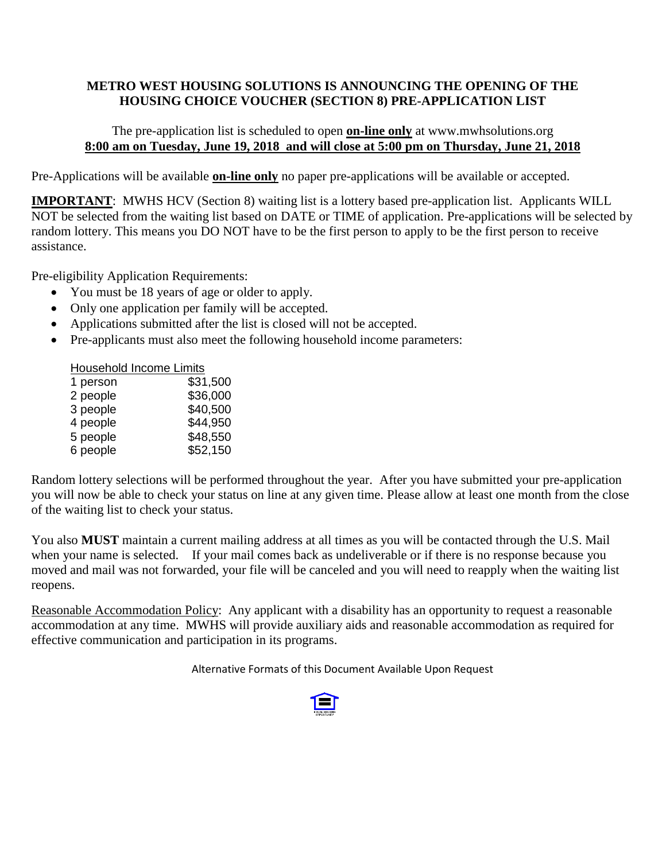## **METRO WEST HOUSING SOLUTIONS IS ANNOUNCING THE OPENING OF THE HOUSING CHOICE VOUCHER (SECTION 8) PRE-APPLICATION LIST**

## The pre-application list is scheduled to open **on-line only** at www.mwhsolutions.org **8:00 am on Tuesday, June 19, 2018 and will close at 5:00 pm on Thursday, June 21, 2018**

Pre-Applications will be available **on-line only** no paper pre-applications will be available or accepted.

**IMPORTANT:** MWHS HCV (Section 8) waiting list is a lottery based pre-application list. Applicants WILL NOT be selected from the waiting list based on DATE or TIME of application. Pre-applications will be selected by random lottery. This means you DO NOT have to be the first person to apply to be the first person to receive assistance.

Pre-eligibility Application Requirements:

- You must be 18 years of age or older to apply.
- Only one application per family will be accepted.
- Applications submitted after the list is closed will not be accepted.
- Pre-applicants must also meet the following household income parameters:

| Household Income Limits |          |
|-------------------------|----------|
| 1 person                | \$31,500 |
| 2 people                | \$36,000 |
| 3 people                | \$40,500 |
| 4 people                | \$44,950 |
| 5 people                | \$48,550 |
| 6 people                | \$52,150 |

Random lottery selections will be performed throughout the year. After you have submitted your pre-application you will now be able to check your status on line at any given time. Please allow at least one month from the close of the waiting list to check your status.

You also **MUST** maintain a current mailing address at all times as you will be contacted through the U.S. Mail when your name is selected. If your mail comes back as undeliverable or if there is no response because you moved and mail was not forwarded, your file will be canceled and you will need to reapply when the waiting list reopens.

Reasonable Accommodation Policy: Any applicant with a disability has an opportunity to request a reasonable accommodation at any time. MWHS will provide auxiliary aids and reasonable accommodation as required for effective communication and participation in its programs.

Alternative Formats of this Document Available Upon Request